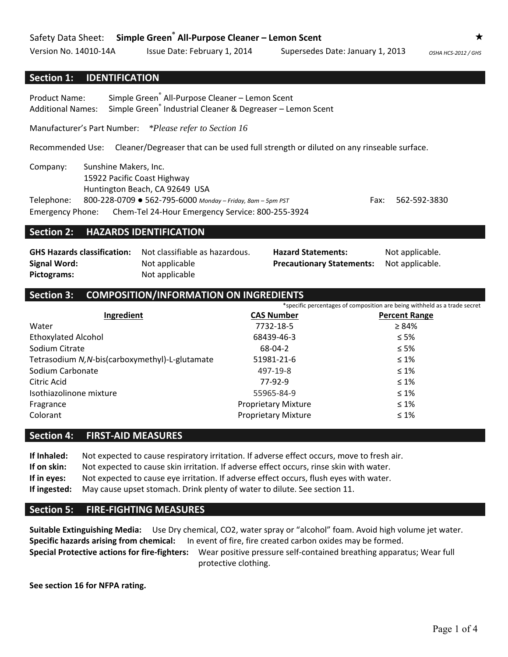### **Section 1: IDENTIFICATION**

Product Name: Simple Green® All‐Purpose Cleaner – Lemon Scent Additional Names: Simple Green<sup>®</sup> Industrial Cleaner & Degreaser – Lemon Scent

Manufacturer's Part Number: *\*Please refer to Section 16*

Recommended Use: Cleaner/Degreaser that can be used full strength or diluted on any rinseable surface.

Company: Sunshine Makers, Inc. 15922 Pacific Coast Highway Huntington Beach, CA 92649 USA

Telephone: 800‐228‐0709 ● 562‐795‐6000 *Monday – Friday, 8am – 5pm PST* Fax: 562‐592‐3830 Emergency Phone: Chem‐Tel 24‐Hour Emergency Service: 800‐255‐3924

#### **Section 2: HAZARDS IDENTIFICATION**

**GHS Hazards classification:**  Not classifiable as hazardous. **Hazard Statements:** Not applicable. **Signal Word:** Not applicable **Precautionary Statements:** Not applicable. **Pictograms:** Not applicable

### **Section 3: COMPOSITION/INFORMATION ON INGREDIENTS**

|                                                 | *specific percentages of composition are being withheld as a trade secret |                      |  |  |
|-------------------------------------------------|---------------------------------------------------------------------------|----------------------|--|--|
| Ingredient                                      | <b>CAS Number</b>                                                         | <b>Percent Range</b> |  |  |
| Water                                           | 7732-18-5                                                                 | $\geq 84\%$          |  |  |
| <b>Ethoxylated Alcohol</b>                      | 68439-46-3                                                                | $\leq 5\%$           |  |  |
| Sodium Citrate                                  | 68-04-2                                                                   | $\leq 5\%$           |  |  |
| Tetrasodium N, N-bis(carboxymethyl)-L-glutamate | 51981-21-6                                                                | $\leq 1\%$           |  |  |
| Sodium Carbonate                                | 497-19-8                                                                  | $\leq 1\%$           |  |  |
| Citric Acid                                     | 77-92-9                                                                   | $\leq 1\%$           |  |  |
| Isothiazolinone mixture                         | 55965-84-9                                                                | $\leq 1\%$           |  |  |
| Fragrance                                       | <b>Proprietary Mixture</b>                                                | $\leq 1\%$           |  |  |
| Colorant                                        | <b>Proprietary Mixture</b>                                                | $\leq 1\%$           |  |  |

#### **Section 4: FIRST‐AID MEASURES**

**If Inhaled:** Not expected to cause respiratory irritation. If adverse effect occurs, move to fresh air.

**If on skin:** Not expected to cause skin irritation. If adverse effect occurs, rinse skin with water.

**If in eyes:** Not expected to cause eye irritation. If adverse effect occurs, flush eyes with water.

**If ingested:** May cause upset stomach. Drink plenty of water to dilute. See section 11.

## **Section 5: FIRE‐FIGHTING MEASURES**

**Suitable Extinguishing Media:** Use Dry chemical, CO2, water spray or "alcohol" foam. Avoid high volume jet water. **Specific hazards arising from chemical:** In event of fire, fire created carbon oxides may be formed. **Special Protective actions for fire‐fighters:** Wear positive pressure self‐contained breathing apparatus; Wear full protective clothing.

**See section 16 for NFPA rating.**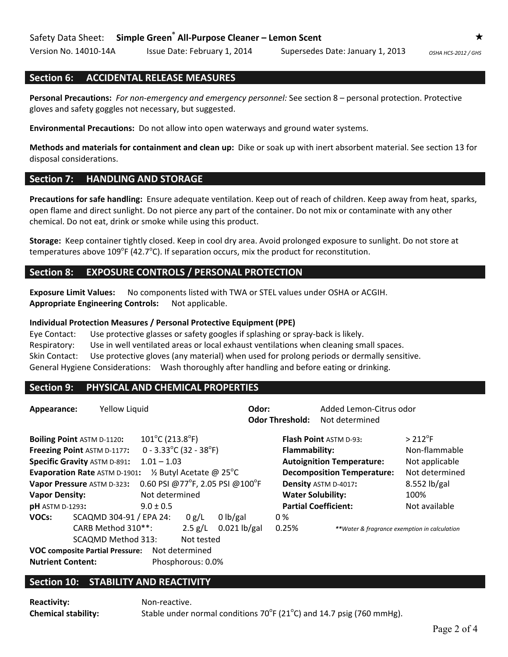**Personal Precautions:** *For non‐emergency and emergency personnel:* See section 8 – personal protection. Protective gloves and safety goggles not necessary, but suggested.

**Environmental Precautions:** Do not allow into open waterways and ground water systems.

**Methods and materials for containment and clean up:** Dike or soak up with inert absorbent material. See section 13 for disposal considerations.

### **Section 7: HANDLING AND STORAGE**

**Precautions for safe handling:** Ensure adequate ventilation. Keep out of reach of children. Keep away from heat, sparks, open flame and direct sunlight. Do not pierce any part of the container. Do not mix or contaminate with any other chemical. Do not eat, drink or smoke while using this product.

**Storage:** Keep container tightly closed. Keep in cool dry area. Avoid prolonged exposure to sunlight. Do not store at temperatures above  $109^{\circ}$ F (42.7 $^{\circ}$ C). If separation occurs, mix the product for reconstitution.

#### **Section 8: EXPOSURE CONTROLS / PERSONAL PROTECTION**

**Exposure Limit Values:** No components listed with TWA or STEL values under OSHA or ACGIH. **Appropriate Engineering Controls:** Not applicable.

#### **Individual Protection Measures / Personal Protective Equipment (PPE)**

Eye Contact: Use protective glasses or safety googles if splashing or spray-back is likely. Respiratory: Use in well ventilated areas or local exhaust ventilations when cleaning small spaces. Skin Contact: Use protective gloves (any material) when used for prolong periods or dermally sensitive. General Hygiene Considerations: Wash thoroughly after handling and before eating or drinking.

### **Section 9: PHYSICAL AND CHEMICAL PROPERTIES**

| Appearance:                                                                | <b>Yellow Liquid</b>                |                                             |                                 | Odor:          | <b>Odor Threshold:</b>            | Added Lemon-Citrus odor<br>Not determined    |                  |
|----------------------------------------------------------------------------|-------------------------------------|---------------------------------------------|---------------------------------|----------------|-----------------------------------|----------------------------------------------|------------------|
|                                                                            | <b>Boiling Point ASTM D-1120:</b>   | $101^{\circ}$ C (213.8 $^{\circ}$ F)        |                                 |                |                                   | <b>Flash Point ASTM D-93:</b>                | $>212^{\circ}$ F |
|                                                                            | Freezing Point ASTM D-1177:         | $0 - 3.33^{\circ}$ C (32 - 38 $^{\circ}$ F) |                                 |                | Flammability:                     |                                              | Non-flammable    |
|                                                                            | <b>Specific Gravity ASTM D-891:</b> | $1.01 - 1.03$                               |                                 |                |                                   | <b>Autoignition Temperature:</b>             | Not applicable   |
| <b>Evaporation Rate ASTM D-1901:</b><br>$\frac{1}{2}$ Butyl Acetate @ 25°C |                                     |                                             |                                 |                | <b>Decomposition Temperature:</b> | Not determined                               |                  |
| Vapor Pressure ASTM D-323:                                                 |                                     |                                             | 0.60 PSI @77°F, 2.05 PSI @100°F |                |                                   | <b>Density ASTM D-4017:</b>                  |                  |
| <b>Vapor Density:</b>                                                      |                                     | Not determined                              |                                 |                | <b>Water Solubility:</b>          |                                              | 100%             |
| $pH$ ASTM D-1293:                                                          |                                     | $9.0 \pm 0.5$                               |                                 |                |                                   | <b>Partial Coefficient:</b>                  | Not available    |
| VOCs:                                                                      | SCAQMD 304-91 / EPA 24:             |                                             | 0 g/L                           | $0$ lb/gal     | $0\%$                             |                                              |                  |
|                                                                            | CARB Method 310**:                  |                                             | $2.5$ g/L                       | $0.021$ lb/gal | 0.25%                             | **Water & fragrance exemption in calculation |                  |
|                                                                            | SCAQMD Method 313:                  |                                             | Not tested                      |                |                                   |                                              |                  |
| <b>VOC composite Partial Pressure:</b><br>Not determined                   |                                     |                                             |                                 |                |                                   |                                              |                  |
| <b>Nutrient Content:</b>                                                   |                                     |                                             | Phosphorous: 0.0%               |                |                                   |                                              |                  |

### **Section 10: STABILITY AND REACTIVITY**

Reactivity: Non-reactive.

**Chemical stability:** Stable under normal conditions 70°F (21°C) and 14.7 psig (760 mmHg).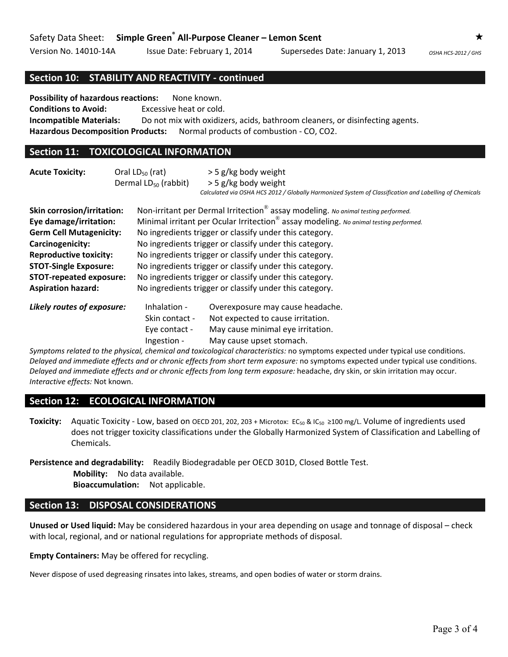# **Section 10: STABILITY AND REACTIVITY ‐ continued**

**Possibility of hazardous reactions:** None known. **Conditions to Avoid:** Excessive heat or cold. **Incompatible Materials:** Do not mix with oxidizers, acids, bathroom cleaners, or disinfecting agents. **Hazardous Decomposition Products:** Normal products of combustion ‐ CO, CO2.

## **Section 11: TOXICOLOGICAL INFORMATION**

| <b>Acute Toxicity:</b>            | Oral $LD_{50}$ (rat)<br>Dermal LD <sub>50</sub> (rabbit) | > 5 g/kg body weight<br>> 5 g/kg body weight<br>Calculated via OSHA HCS 2012 / Globally Harmonized System of Classification and Labelling of Chemicals |  |  |  |  |
|-----------------------------------|----------------------------------------------------------|--------------------------------------------------------------------------------------------------------------------------------------------------------|--|--|--|--|
| <b>Skin corrosion/irritation:</b> |                                                          | Non-irritant per Dermal Irritection <sup>®</sup> assay modeling. No animal testing performed.                                                          |  |  |  |  |
| Eye damage/irritation:            |                                                          | Minimal irritant per Ocular Irritection <sup>®</sup> assay modeling. No animal testing performed.                                                      |  |  |  |  |
| <b>Germ Cell Mutagenicity:</b>    | No ingredients trigger or classify under this category.  |                                                                                                                                                        |  |  |  |  |
| Carcinogenicity:                  |                                                          | No ingredients trigger or classify under this category.                                                                                                |  |  |  |  |
| <b>Reproductive toxicity:</b>     |                                                          | No ingredients trigger or classify under this category.                                                                                                |  |  |  |  |
| <b>STOT-Single Exposure:</b>      | No ingredients trigger or classify under this category.  |                                                                                                                                                        |  |  |  |  |
| <b>STOT-repeated exposure:</b>    |                                                          | No ingredients trigger or classify under this category.                                                                                                |  |  |  |  |
| <b>Aspiration hazard:</b>         |                                                          | No ingredients trigger or classify under this category.                                                                                                |  |  |  |  |
| Likely routes of exposure:        | Inhalation -<br>Skin contact -<br>Eye contact -          | Overexposure may cause headache.<br>Not expected to cause irritation.<br>May cause minimal eye irritation.                                             |  |  |  |  |
|                                   | Ingestion -                                              | May cause upset stomach.                                                                                                                               |  |  |  |  |

*Symptoms related to the physical, chemical and toxicological characteristics:* no symptoms expected under typical use conditions. *Delayed and immediate effects and or chronic effects from short term exposure:* no symptoms expected under typical use conditions. *Delayed and immediate effects and or chronic effects from long term exposure:* headache, dry skin, or skin irritation may occur. *Interactive effects:* Not known.

# **Section 12: ECOLOGICAL INFORMATION**

**Toxicity:** Aquatic Toxicity - Low, based on OECD 201, 202, 203 + Microtox: EC<sub>50</sub> & IC<sub>50</sub> ≥100 mg/L. Volume of ingredients used does not trigger toxicity classifications under the Globally Harmonized System of Classification and Labelling of Chemicals.

**Persistence and degradability:** Readily Biodegradable per OECD 301D, Closed Bottle Test.

**Mobility:** No data available.

**Bioaccumulation:** Not applicable.

# **Section 13: DISPOSAL CONSIDERATIONS**

**Unused or Used liquid:** May be considered hazardous in your area depending on usage and tonnage of disposal – check with local, regional, and or national regulations for appropriate methods of disposal.

**Empty Containers:** May be offered for recycling.

Never dispose of used degreasing rinsates into lakes, streams, and open bodies of water or storm drains.